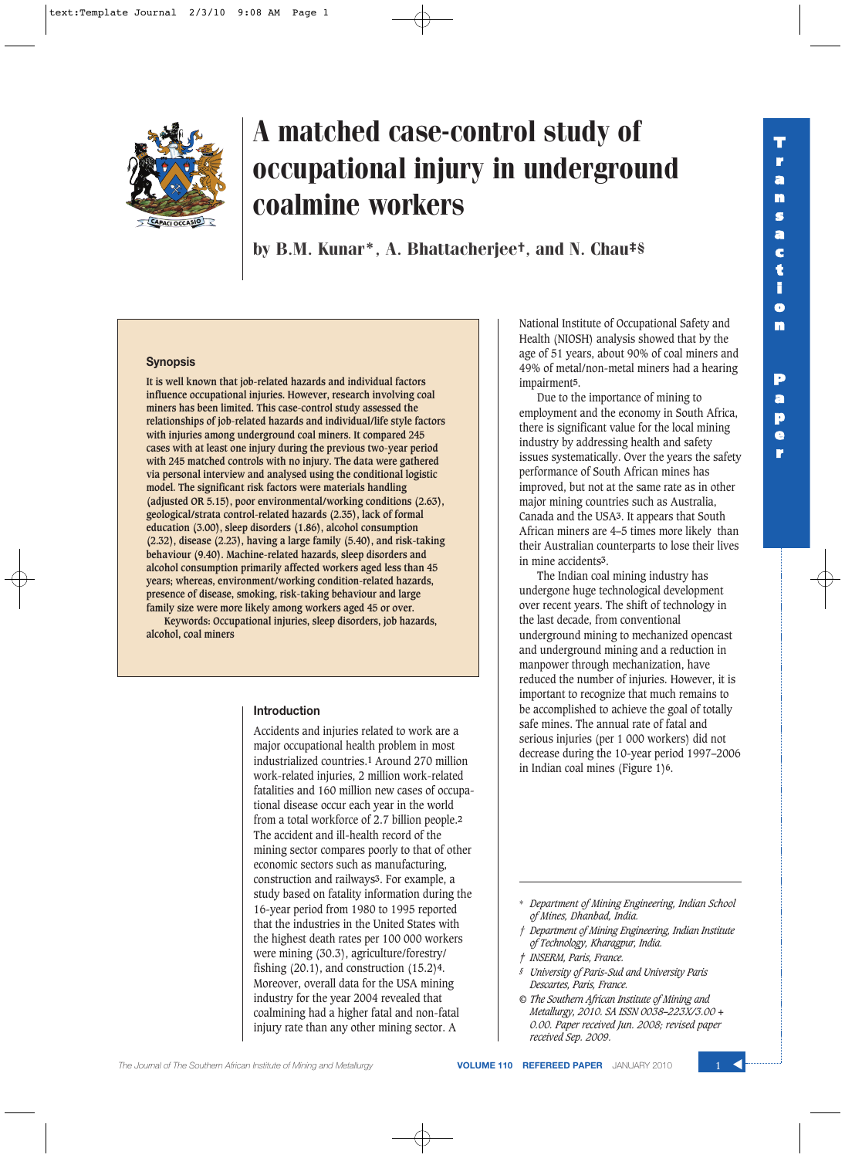**e r**



# A matched case-control study of occupational injury in underground coalmine workers

by B.M. Kunar\*, A. Bhattacherjee†, and N. Chau‡§

#### **Synopsis**

**It is well known that job-related hazards and individual factors influence occupational injuries. However, research involving coal miners has been limited. This case-control study assessed the relationships of job-related hazards and individual/life style factors with injuries among underground coal miners. It compared 245 cases with at least one injury during the previous two-year period with 245 matched controls with no injury. The data were gathered via personal interview and analysed using the conditional logistic model. The significant risk factors were materials handling (adjusted OR 5.15), poor environmental/working conditions (2.63), geological/strata control-related hazards (2.35), lack of formal education (3.00), sleep disorders (1.86), alcohol consumption (2.32), disease (2.23), having a large family (5.40), and risk-taking behaviour (9.40). Machine-related hazards, sleep disorders and alcohol consumption primarily affected workers aged less than 45 years; whereas, environment/working condition-related hazards, presence of disease, smoking, risk-taking behaviour and large family size were more likely among workers aged 45 or over.**

**Keywords: Occupational injuries, sleep disorders, job hazards, alcohol, coal miners**

## **Introduction**

Accidents and injuries related to work are a major occupational health problem in most industrialized countries.**1** Around 270 million work-related injuries, 2 million work-related fatalities and 160 million new cases of occupational disease occur each year in the world from a total workforce of 2.7 billion people.**2** The accident and ill-health record of the mining sector compares poorly to that of other economic sectors such as manufacturing, construction and railways**3**. For example, a study based on fatality information during the 16-year period from 1980 to 1995 reported that the industries in the United States with the highest death rates per 100 000 workers were mining (30.3), agriculture/forestry/ fishing (20.1), and construction (15.2)**4**. Moreover, overall data for the USA mining industry for the year 2004 revealed that coalmining had a higher fatal and non-fatal injury rate than any other mining sector. A

National Institute of Occupational Safety and Health (NIOSH) analysis showed that by the age of 51 years, about 90% of coal miners and 49% of metal/non-metal miners had a hearing impairment**5**.

Due to the importance of mining to employment and the economy in South Africa, there is significant value for the local mining industry by addressing health and safety issues systematically. Over the years the safety performance of South African mines has improved, but not at the same rate as in other major mining countries such as Australia, Canada and the USA**3**. It appears that South African miners are 4–5 times more likely than their Australian counterparts to lose their lives in mine accidents**3**.

The Indian coal mining industry has undergone huge technological development over recent years. The shift of technology in the last decade, from conventional underground mining to mechanized opencast and underground mining and a reduction in manpower through mechanization, have reduced the number of injuries. However, it is important to recognize that much remains to be accomplished to achieve the goal of totally safe mines. The annual rate of fatal and serious injuries (per 1 000 workers) did not decrease during the 10-year period 1997–2006 in Indian coal mines (Figure 1)**6**.

- *† Department of Mining Engineering, Indian Institute of Technology, Kharagpur, India.*
- *‡ INSERM, Paris, France.*
- *§ University of Paris-Sud and University Paris Descartes, Paris, France.*
- *© The Southern African Institute of Mining and Metallurgy, 2010. SA ISSN 0038–223X/3.00 + 0.00. Paper received Jun. 2008; revised paper received Sep. 2009.*

<sup>\*</sup> *Department of Mining Engineering, Indian School of Mines, Dhanbad, India.*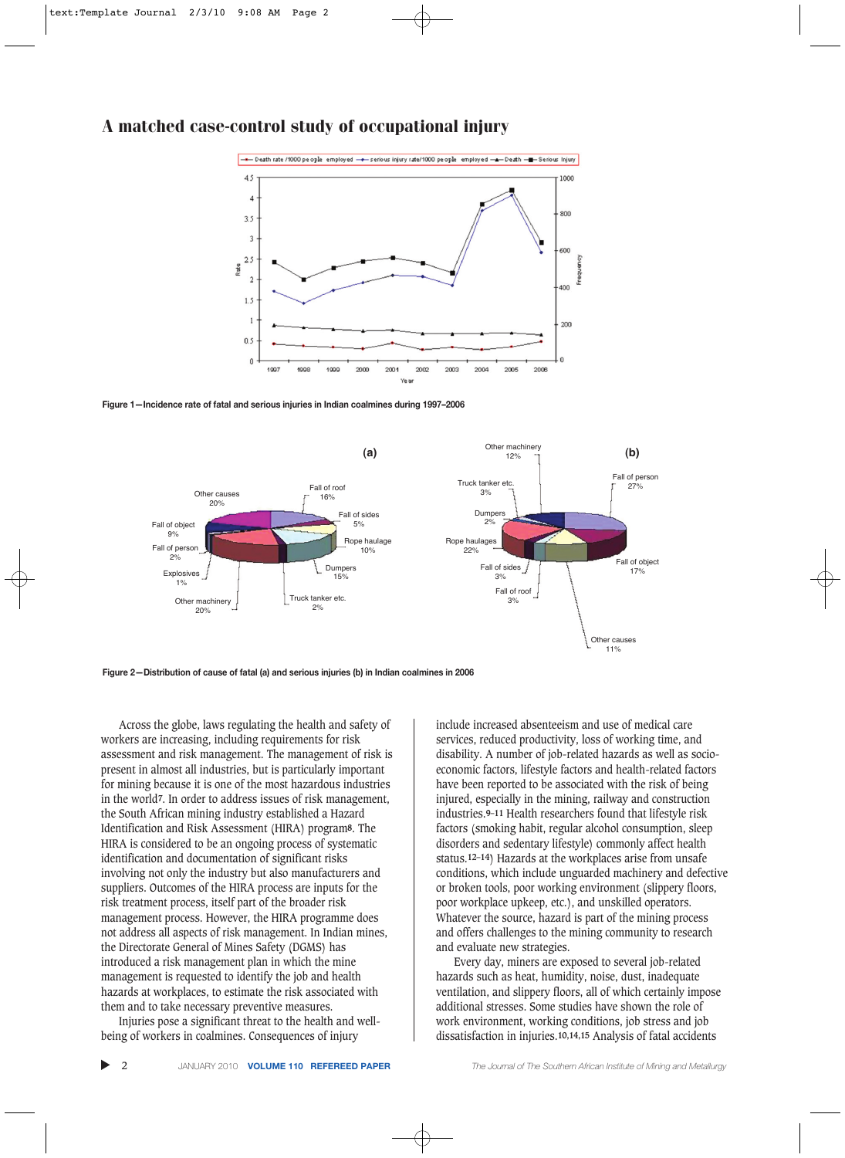

**Figure 1—Incidence rate of fatal and serious injuries in Indian coalmines during 1997–2006**



**Figure 2—Distribution of cause of fatal (a) and serious injuries (b) in Indian coalmines in 2006**

Across the globe, laws regulating the health and safety of workers are increasing, including requirements for risk assessment and risk management. The management of risk is present in almost all industries, but is particularly important for mining because it is one of the most hazardous industries in the world**7**. In order to address issues of risk management, the South African mining industry established a Hazard Identification and Risk Assessment (HIRA) program**8**. The HIRA is considered to be an ongoing process of systematic identification and documentation of significant risks involving not only the industry but also manufacturers and suppliers. Outcomes of the HIRA process are inputs for the risk treatment process, itself part of the broader risk management process. However, the HIRA programme does not address all aspects of risk management. In Indian mines, the Directorate General of Mines Safety (DGMS) has introduced a risk management plan in which the mine management is requested to identify the job and health hazards at workplaces, to estimate the risk associated with them and to take necessary preventive measures.

Injuries pose a significant threat to the health and wellbeing of workers in coalmines. Consequences of injury

include increased absenteeism and use of medical care services, reduced productivity, loss of working time, and disability. A number of job-related hazards as well as socioeconomic factors, lifestyle factors and health-related factors have been reported to be associated with the risk of being injured, especially in the mining, railway and construction industries.**9–11** Health researchers found that lifestyle risk factors (smoking habit, regular alcohol consumption, sleep disorders and sedentary lifestyle) commonly affect health status.**12–14**) Hazards at the workplaces arise from unsafe conditions, which include unguarded machinery and defective or broken tools, poor working environment (slippery floors, poor workplace upkeep, etc.), and unskilled operators. Whatever the source, hazard is part of the mining process and offers challenges to the mining community to research and evaluate new strategies.

Every day, miners are exposed to several job-related hazards such as heat, humidity, noise, dust, inadequate ventilation, and slippery floors, all of which certainly impose additional stresses. Some studies have shown the role of work environment, working conditions, job stress and job dissatisfaction in injuries.**10,14,15** Analysis of fatal accidents

▲

2 JANUARY 2010 **VOLUME 110 REFEREED PAPER** *The Journal of The Southern African Institute of Mining and Metallurgy*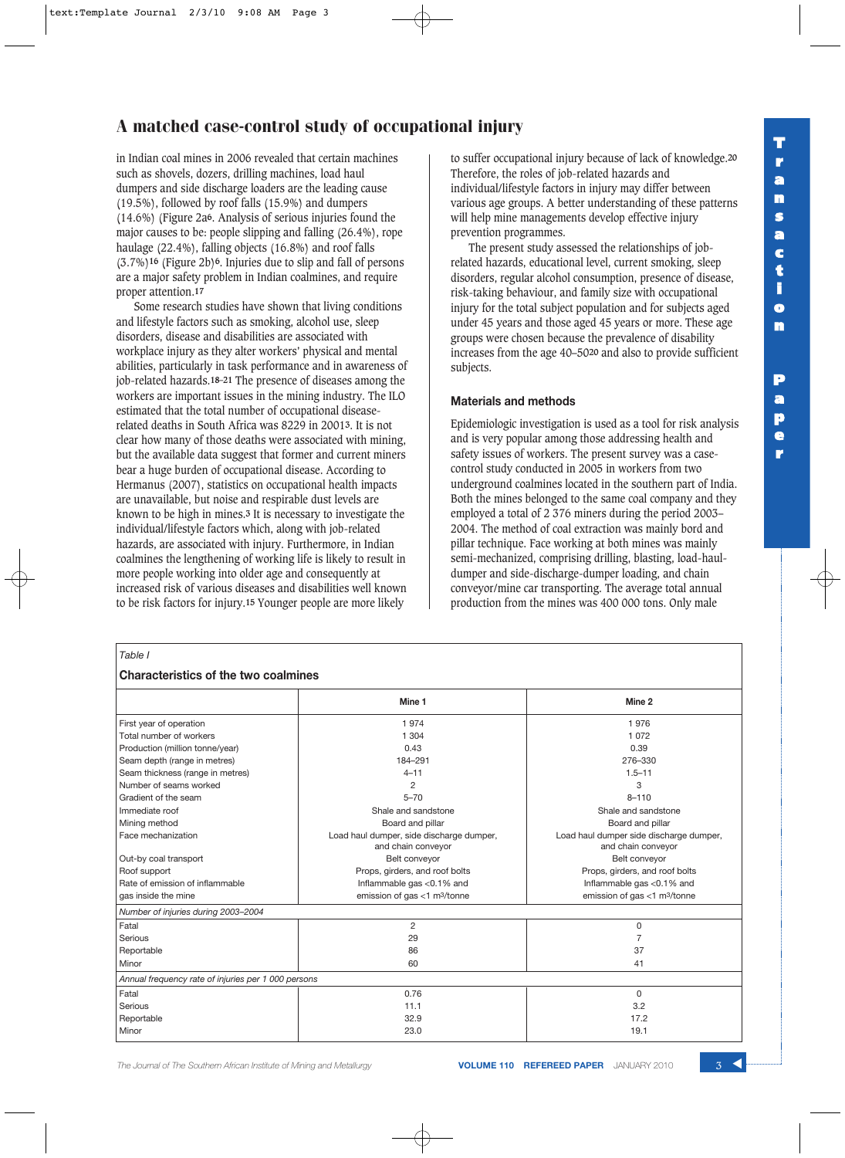in Indian coal mines in 2006 revealed that certain machines such as shovels, dozers, drilling machines, load haul dumpers and side discharge loaders are the leading cause (19.5%), followed by roof falls (15.9%) and dumpers (14.6%) (Figure 2a**6**. Analysis of serious injuries found the major causes to be: people slipping and falling (26.4%), rope haulage (22.4%), falling objects (16.8%) and roof falls (3.7%)**16** (Figure 2b)**6**. Injuries due to slip and fall of persons are a major safety problem in Indian coalmines, and require proper attention.**17**

Some research studies have shown that living conditions and lifestyle factors such as smoking, alcohol use, sleep disorders, disease and disabilities are associated with workplace injury as they alter workers' physical and mental abilities, particularly in task performance and in awareness of job-related hazards.**18–21** The presence of diseases among the workers are important issues in the mining industry. The ILO estimated that the total number of occupational diseaserelated deaths in South Africa was 8229 in 2001**3**. It is not clear how many of those deaths were associated with mining, but the available data suggest that former and current miners bear a huge burden of occupational disease. According to Hermanus (2007), statistics on occupational health impacts are unavailable, but noise and respirable dust levels are known to be high in mines.**3** It is necessary to investigate the individual/lifestyle factors which, along with job-related hazards, are associated with injury. Furthermore, in Indian coalmines the lengthening of working life is likely to result in more people working into older age and consequently at increased risk of various diseases and disabilities well known to be risk factors for injury.**15** Younger people are more likely

to suffer occupational injury because of lack of knowledge.**20** Therefore, the roles of job-related hazards and individual/lifestyle factors in injury may differ between various age groups. A better understanding of these patterns will help mine managements develop effective injury prevention programmes.

The present study assessed the relationships of jobrelated hazards, educational level, current smoking, sleep disorders, regular alcohol consumption, presence of disease, risk-taking behaviour, and family size with occupational injury for the total subject population and for subjects aged under 45 years and those aged 45 years or more. These age groups were chosen because the prevalence of disability increases from the age 40–50**20** and also to provide sufficient subjects.

#### **Materials and methods**

Epidemiologic investigation is used as a tool for risk analysis and is very popular among those addressing health and safety issues of workers. The present survey was a casecontrol study conducted in 2005 in workers from two underground coalmines located in the southern part of India. Both the mines belonged to the same coal company and they employed a total of 2 376 miners during the period 2003– 2004. The method of coal extraction was mainly bord and pillar technique. Face working at both mines was mainly semi-mechanized, comprising drilling, blasting, load-hauldumper and side-discharge-dumper loading, and chain conveyor/mine car transporting. The average total annual production from the mines was 400 000 tons. Only male

#### **Characteristics of the two coalmines**

|                                                     | Mine 1                                                         | Mine 2                                                        |
|-----------------------------------------------------|----------------------------------------------------------------|---------------------------------------------------------------|
| First year of operation                             | 1974                                                           | 1976                                                          |
| Total number of workers                             | 1 304                                                          | 1 0 7 2                                                       |
| Production (million tonne/year)                     | 0.43                                                           | 0.39                                                          |
| Seam depth (range in metres)                        | 184-291                                                        | 276-330                                                       |
| Seam thickness (range in metres)                    | $4 - 11$                                                       | $1.5 - 11$                                                    |
| Number of seams worked                              | 2                                                              | 3                                                             |
| Gradient of the seam                                | $5 - 70$                                                       | $8 - 110$                                                     |
| Immediate roof                                      | Shale and sandstone                                            | Shale and sandstone                                           |
| Mining method                                       | Board and pillar                                               | Board and pillar                                              |
| Face mechanization                                  | Load haul dumper, side discharge dumper,<br>and chain conveyor | Load haul dumper side discharge dumper,<br>and chain conveyor |
| Out-by coal transport                               | Belt conveyor                                                  | Belt conveyor                                                 |
| Roof support                                        | Props, girders, and roof bolts                                 | Props, girders, and roof bolts                                |
| Rate of emission of inflammable                     | Inflammable gas <0.1% and                                      | Inflammable gas <0.1% and                                     |
| gas inside the mine                                 | emission of gas <1 m <sup>3</sup> /tonne                       | emission of gas <1 m <sup>3</sup> /tonne                      |
| Number of injuries during 2003-2004                 |                                                                |                                                               |
| Fatal                                               | $\overline{2}$                                                 | 0                                                             |
| Serious                                             | 29                                                             | 7                                                             |
| Reportable                                          | 86                                                             | 37                                                            |
| Minor                                               | 60                                                             | 41                                                            |
| Annual frequency rate of injuries per 1 000 persons |                                                                |                                                               |
| Fatal                                               | 0.76                                                           | $\Omega$                                                      |
| Serious                                             | 11.1                                                           | 3.2                                                           |
| Reportable                                          | 32.9                                                           | 17.2                                                          |
| Minor                                               | 23.0                                                           | 19.1                                                          |

**The Journal of The Southern African Institute of Mining and Metallurgy <b>VOLUME 110 REFEREED PAPER** JANUARY 2010

**P a p e r**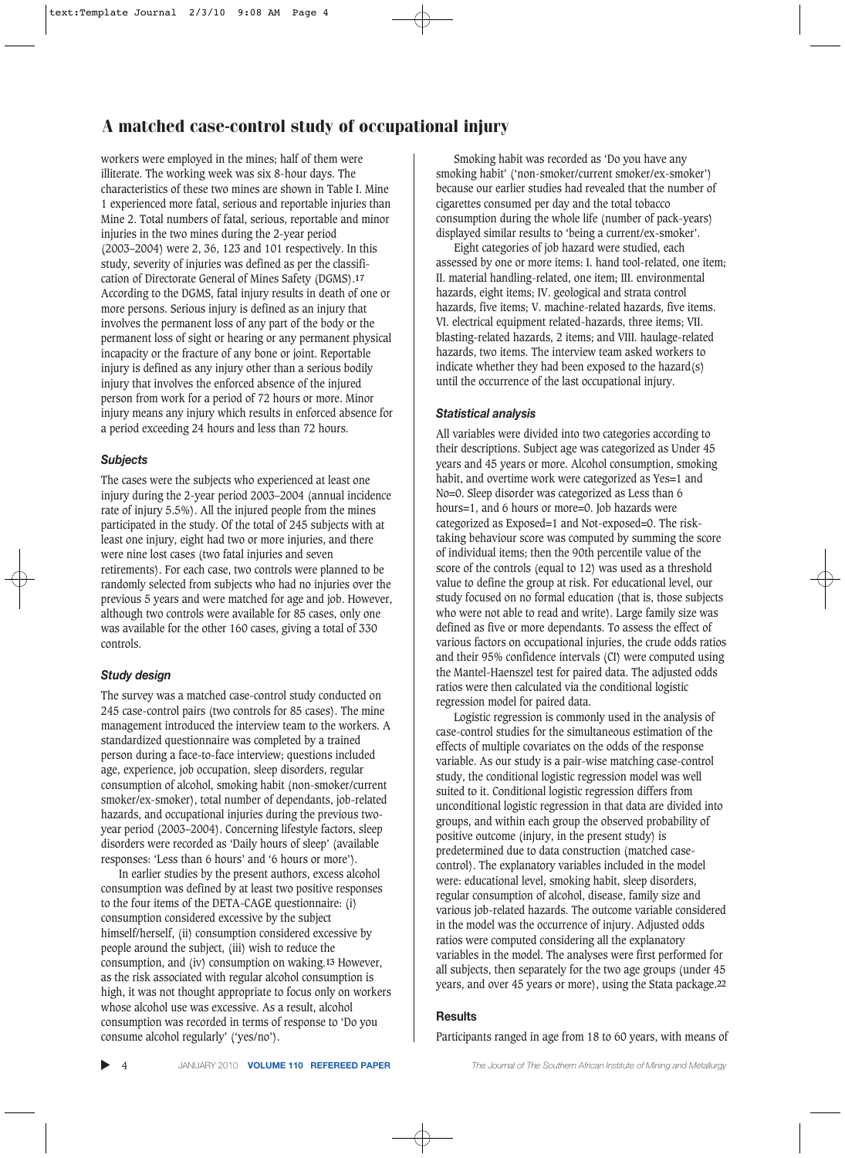workers were employed in the mines; half of them were illiterate. The working week was six 8-hour days. The characteristics of these two mines are shown in Table I. Mine 1 experienced more fatal, serious and reportable injuries than Mine 2. Total numbers of fatal, serious, reportable and minor injuries in the two mines during the 2-year period (2003–2004) were 2, 36, 123 and 101 respectively. In this study, severity of injuries was defined as per the classification of Directorate General of Mines Safety (DGMS).**17** According to the DGMS, fatal injury results in death of one or more persons. Serious injury is defined as an injury that involves the permanent loss of any part of the body or the permanent loss of sight or hearing or any permanent physical incapacity or the fracture of any bone or joint. Reportable injury is defined as any injury other than a serious bodily injury that involves the enforced absence of the injured person from work for a period of 72 hours or more. Minor injury means any injury which results in enforced absence for a period exceeding 24 hours and less than 72 hours.

#### *Subjects*

The cases were the subjects who experienced at least one injury during the 2-year period 2003–2004 (annual incidence rate of injury 5.5%). All the injured people from the mines participated in the study. Of the total of 245 subjects with at least one injury, eight had two or more injuries, and there were nine lost cases (two fatal injuries and seven retirements). For each case, two controls were planned to be randomly selected from subjects who had no injuries over the previous 5 years and were matched for age and job. However, although two controls were available for 85 cases, only one was available for the other 160 cases, giving a total of 330 controls.

#### *Study design*

The survey was a matched case-control study conducted on 245 case-control pairs (two controls for 85 cases). The mine management introduced the interview team to the workers. A standardized questionnaire was completed by a trained person during a face-to-face interview; questions included age, experience, job occupation, sleep disorders, regular consumption of alcohol, smoking habit (non-smoker/current smoker/ex-smoker), total number of dependants, job-related hazards, and occupational injuries during the previous twoyear period (2003–2004). Concerning lifestyle factors, sleep disorders were recorded as 'Daily hours of sleep' (available responses: 'Less than 6 hours' and '6 hours or more').

In earlier studies by the present authors, excess alcohol consumption was defined by at least two positive responses to the four items of the DETA-CAGE questionnaire: (i) consumption considered excessive by the subject himself/herself, (ii) consumption considered excessive by people around the subject, (iii) wish to reduce the consumption, and (iv) consumption on waking.**13** However, as the risk associated with regular alcohol consumption is high, it was not thought appropriate to focus only on workers whose alcohol use was excessive. As a result, alcohol consumption was recorded in terms of response to 'Do you consume alcohol regularly' ('yes/no').

Smoking habit was recorded as 'Do you have any smoking habit' ('non-smoker/current smoker/ex-smoker') because our earlier studies had revealed that the number of cigarettes consumed per day and the total tobacco consumption during the whole life (number of pack-years) displayed similar results to 'being a current/ex-smoker'.

Eight categories of job hazard were studied, each assessed by one or more items: I. hand tool-related, one item; II. material handling-related, one item; III. environmental hazards, eight items; IV. geological and strata control hazards, five items; V. machine-related hazards, five items. VI. electrical equipment related-hazards, three items; VII. blasting-related hazards, 2 items; and VIII. haulage-related hazards, two items. The interview team asked workers to indicate whether they had been exposed to the hazard(s) until the occurrence of the last occupational injury.

### *Statistical analysis*

All variables were divided into two categories according to their descriptions. Subject age was categorized as Under 45 years and 45 years or more. Alcohol consumption, smoking habit, and overtime work were categorized as Yes=1 and No=0. Sleep disorder was categorized as Less than 6 hours=1, and 6 hours or more=0. Job hazards were categorized as Exposed=1 and Not-exposed=0. The risktaking behaviour score was computed by summing the score of individual items; then the 90th percentile value of the score of the controls (equal to 12) was used as a threshold value to define the group at risk. For educational level, our study focused on no formal education (that is, those subjects who were not able to read and write). Large family size was defined as five or more dependants. To assess the effect of various factors on occupational injuries, the crude odds ratios and their 95% confidence intervals (CI) were computed using the Mantel-Haenszel test for paired data. The adjusted odds ratios were then calculated via the conditional logistic regression model for paired data.

Logistic regression is commonly used in the analysis of case-control studies for the simultaneous estimation of the effects of multiple covariates on the odds of the response variable. As our study is a pair-wise matching case-control study, the conditional logistic regression model was well suited to it. Conditional logistic regression differs from unconditional logistic regression in that data are divided into groups, and within each group the observed probability of positive outcome (injury, in the present study) is predetermined due to data construction (matched casecontrol). The explanatory variables included in the model were: educational level, smoking habit, sleep disorders, regular consumption of alcohol, disease, family size and various job-related hazards. The outcome variable considered in the model was the occurrence of injury. Adjusted odds ratios were computed considering all the explanatory variables in the model. The analyses were first performed for all subjects, then separately for the two age groups (under 45 years, and over 45 years or more), using the Stata package.**22**

## **Results**

Participants ranged in age from 18 to 60 years, with means of

▲

4 JANUARY 2010 **VOLUME 110 REFEREED PAPER** *The Journal of The Southern African Institute of Mining and Metallurgy*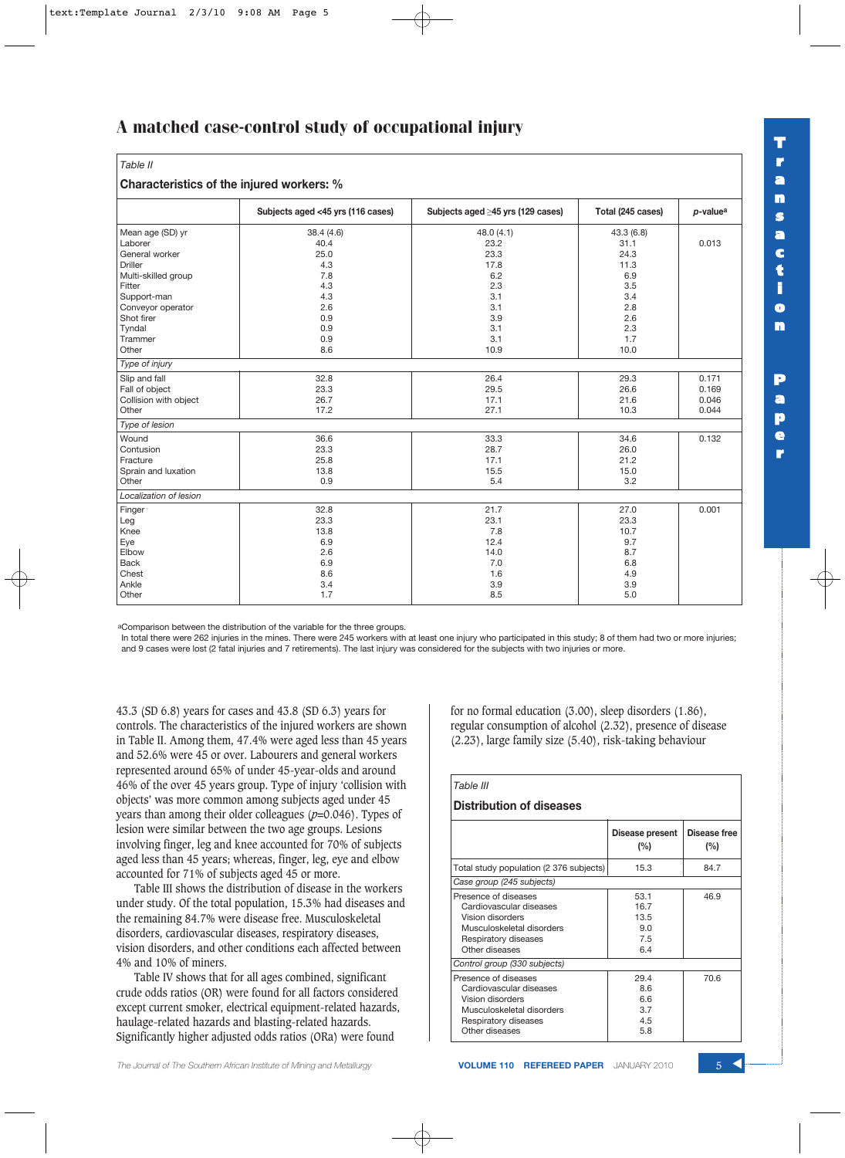| Table II                                  |                                   |                                   |                   |                         |  |  |  |
|-------------------------------------------|-----------------------------------|-----------------------------------|-------------------|-------------------------|--|--|--|
| Characteristics of the injured workers: % |                                   |                                   |                   |                         |  |  |  |
|                                           | Subjects aged <45 yrs (116 cases) | Subjects aged ≥45 yrs (129 cases) | Total (245 cases) | $p$ -value <sup>a</sup> |  |  |  |
| Mean age (SD) yr                          | 38.4 (4.6)                        | 48.0(4.1)                         | 43.3 (6.8)        | 0.013                   |  |  |  |
| Laborer                                   | 40.4                              | 23.2                              | 31.1              |                         |  |  |  |
| General worker                            | 25.0                              | 23.3                              | 24.3              |                         |  |  |  |
| <b>Driller</b>                            | 4.3                               | 17.8                              | 11.3              |                         |  |  |  |
| Multi-skilled group                       | 7.8                               | 6.2                               | 6.9               |                         |  |  |  |
| Fitter                                    | 4.3                               | 2.3                               | 3.5               |                         |  |  |  |
| Support-man                               | 4.3                               | 3.1                               | 3.4               |                         |  |  |  |
| Conveyor operator                         | 2.6                               | 3.1                               | 2.8               |                         |  |  |  |
| Shot firer                                | 0.9                               | 3.9                               | 2.6               |                         |  |  |  |
| Tyndal                                    | 0.9                               | 3.1                               | 2.3               |                         |  |  |  |
| Trammer                                   | 0.9                               | 3.1                               | 1.7               |                         |  |  |  |
| Other                                     | 8.6                               | 10.9                              | 10.0              |                         |  |  |  |
| Type of injury                            |                                   |                                   |                   |                         |  |  |  |
| Slip and fall                             | 32.8                              | 26.4                              | 29.3              | 0.171                   |  |  |  |
| Fall of object                            | 23.3                              | 29.5                              | 26.6              | 0.169                   |  |  |  |
| Collision with object                     | 26.7                              | 17.1                              | 21.6              | 0.046                   |  |  |  |
| Other                                     | 17.2                              | 27.1                              | 10.3              | 0.044                   |  |  |  |
| Type of lesion                            |                                   |                                   |                   |                         |  |  |  |
| Wound                                     | 36.6                              | 33.3                              | 34.6              | 0.132                   |  |  |  |
| Contusion                                 | 23.3                              | 28.7                              | 26.0              |                         |  |  |  |
| Fracture                                  | 25.8                              | 17.1                              | 21.2              |                         |  |  |  |
| Sprain and luxation                       | 13.8                              | 15.5                              | 15.0              |                         |  |  |  |
| Other                                     | 0.9                               | 5.4                               | 3.2               |                         |  |  |  |
| Localization of lesion                    |                                   |                                   |                   |                         |  |  |  |
| Finger                                    | 32.8                              | 21.7                              | 27.0              | 0.001                   |  |  |  |
| Leg                                       | 23.3                              | 23.1                              | 23.3              |                         |  |  |  |
| Knee                                      | 13.8                              | 7.8                               | 10.7              |                         |  |  |  |
| Eye                                       | 6.9                               | 12.4                              | 9.7               |                         |  |  |  |
| Elbow                                     | 2.6                               | 14.0                              | 8.7               |                         |  |  |  |
| <b>Back</b>                               | 6.9                               | 7.0                               | 6.8               |                         |  |  |  |
| Chest                                     | 8.6                               | 1.6                               | 4.9               |                         |  |  |  |
| Ankle                                     | 3.4                               | 3.9                               | 3.9               |                         |  |  |  |
| Other                                     | 1.7                               | 8.5                               | 5.0               |                         |  |  |  |

aComparison between the distribution of the variable for the three groups.

In total there were 262 injuries in the mines. There were 245 workers with at least one injury who participated in this study; 8 of them had two or more injuries; and 9 cases were lost (2 fatal injuries and 7 retirements). The last injury was considered for the subjects with two injuries or more.

43.3 (SD 6.8) years for cases and 43.8 (SD 6.3) years for controls. The characteristics of the injured workers are shown in Table II. Among them, 47.4% were aged less than 45 years and 52.6% were 45 or over. Labourers and general workers represented around 65% of under 45-year-olds and around 46% of the over 45 years group. Type of injury 'collision with objects' was more common among subjects aged under 45 years than among their older colleagues (*p*=0.046). Types of lesion were similar between the two age groups. Lesions involving finger, leg and knee accounted for 70% of subjects aged less than 45 years; whereas, finger, leg, eye and elbow accounted for 71% of subjects aged 45 or more.

Table III shows the distribution of disease in the workers under study. Of the total population, 15.3% had diseases and the remaining 84.7% were disease free. Musculoskeletal disorders, cardiovascular diseases, respiratory diseases, vision disorders, and other conditions each affected between 4% and 10% of miners.

Table IV shows that for all ages combined, significant crude odds ratios (OR) were found for all factors considered except current smoker, electrical equipment-related hazards, haulage-related hazards and blasting-related hazards. Significantly higher adjusted odds ratios (ORa) were found

for no formal education (3.00), sleep disorders (1.86), regular consumption of alcohol (2.32), presence of disease (2.23), large family size (5.40), risk-taking behaviour

## *Table III* **Distribution of diseases Disease present | Disease free (%) (%)** Total study population (2 376 subjects)  $\begin{array}{|l} \hline \end{array}$  15.3  $\begin{array}{|l} \hline \end{array}$  84.7 *Case group (245 subjects)* Presence of diseases 53.1 46.9<br>Cardiovascular diseases 553.1 46.9 Cardiovascular diseases 16.7<br>Vision disorders 13.5 Vision disorders Musculoskeletal disorders 19.0 Respiratory diseases 7.5<br>Other diseases 6.4 Other diseases *Control group (330 subjects)* Presence of diseases 29.4 70.6 Cardiovascular diseases 8.6<br>Vision disorders 6.6 Vision disorders 6.6<br>Musculoskeletal disorders 6.7 Musculoskeletal disorders Respiratory diseases 4.5<br>Other diseases 5.8

Other diseases

**a p e r**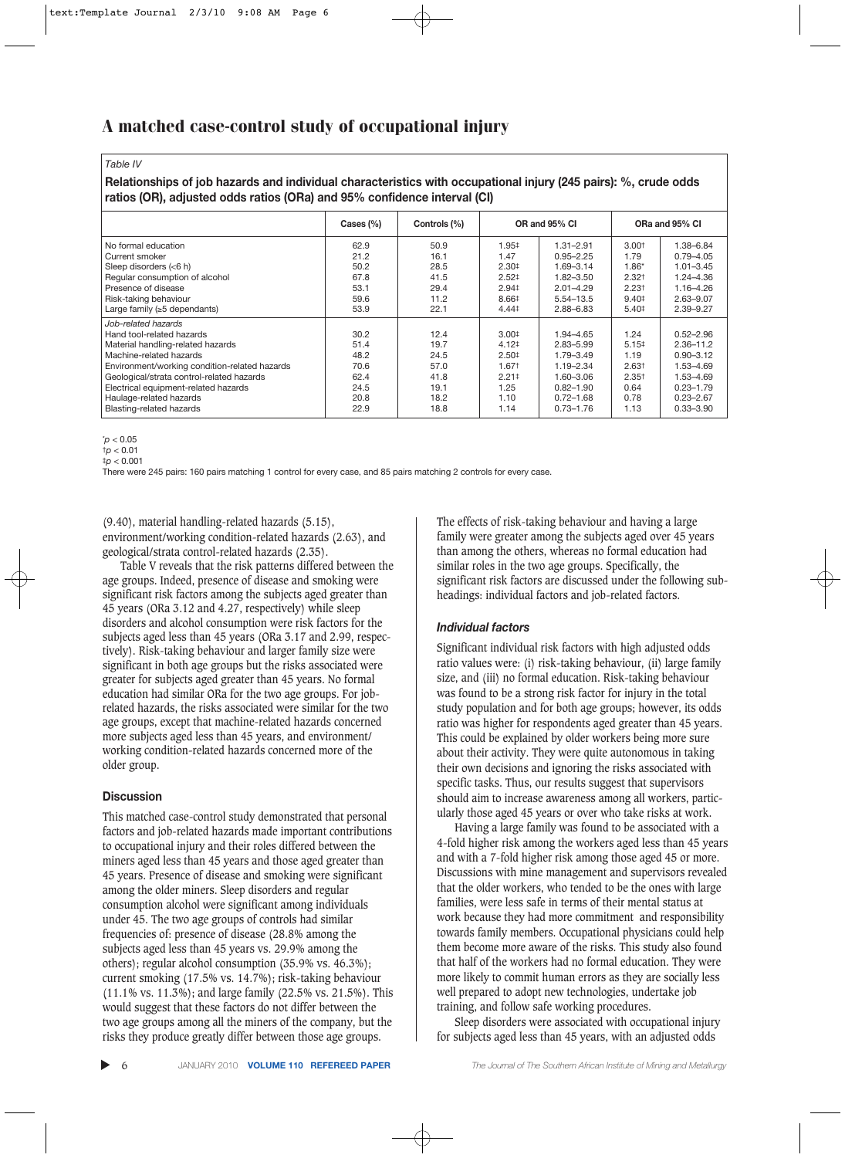*Table IV*

**Relationships of job hazards and individual characteristics with occupational injury (245 pairs): %, crude odds ratios (OR), adjusted odds ratios (ORa) and 95% confidence interval (CI)**

|                                                                                                                                                                                                                                                                                                               | Cases $(\%)$                                                 | Controls (%)                                                 |                                                                                                        | OR and 95% CI                                                                                                            |                                                                                    | ORa and 95% CI                                                                                                               |  |
|---------------------------------------------------------------------------------------------------------------------------------------------------------------------------------------------------------------------------------------------------------------------------------------------------------------|--------------------------------------------------------------|--------------------------------------------------------------|--------------------------------------------------------------------------------------------------------|--------------------------------------------------------------------------------------------------------------------------|------------------------------------------------------------------------------------|------------------------------------------------------------------------------------------------------------------------------|--|
| No formal education<br>Current smoker<br>Sleep disorders (<6 h)<br>Regular consumption of alcohol<br>Presence of disease<br>Risk-taking behaviour                                                                                                                                                             | 62.9<br>21.2<br>50.2<br>67.8<br>53.1<br>59.6                 | 50.9<br>16.1<br>28.5<br>41.5<br>29.4<br>11.2                 | $1.95^{\ddagger}$<br>1.47<br>2.30 <sup>‡</sup><br>2.52 <sup>‡</sup><br>$2.94 \pm$<br>8.66‡             | $1.31 - 2.91$<br>$0.95 - 2.25$<br>1.69-3.14<br>$1.82 - 3.50$<br>$2.01 - 4.29$<br>5.54-13.5                               | 3.00 <sup>†</sup><br>1.79<br>$1.86*$<br>$2.32+$<br>2.23 <sup>†</sup><br>$9.40 \pm$ | 1.38-6.84<br>$0.79 - 4.05$<br>$1.01 - 3.45$<br>1.24-4.36<br>1.16-4.26<br>$2.63 - 9.07$                                       |  |
| Large family $(\geq 5$ dependants)                                                                                                                                                                                                                                                                            | 53.9                                                         | 22.1                                                         | $4.44^{\dagger}$                                                                                       | $2.88 - 6.83$                                                                                                            | $5.40 \pm$                                                                         | $2.39 - 9.27$                                                                                                                |  |
| Job-related hazards<br>Hand tool-related hazards<br>Material handling-related hazards<br>Machine-related hazards<br>Environment/working condition-related hazards<br>Geological/strata control-related hazards<br>Electrical equipment-related hazards<br>Haulage-related hazards<br>Blasting-related hazards | 30.2<br>51.4<br>48.2<br>70.6<br>62.4<br>24.5<br>20.8<br>22.9 | 12.4<br>19.7<br>24.5<br>57.0<br>41.8<br>19.1<br>18.2<br>18.8 | 3.00 <sup>‡</sup><br>$4.12\dagger$<br>2.50 <sup>‡</sup><br>1.671<br>$2.21 \pm$<br>1.25<br>1.10<br>1.14 | 1.94-4.65<br>$2.83 - 5.99$<br>1.79-3.49<br>1.19-2.34<br>$1.60 - 3.06$<br>$0.82 - 1.90$<br>$0.72 - 1.68$<br>$0.73 - 1.76$ | 1.24<br>5.15#<br>1.19<br>2.63 <sup>†</sup><br>$2.35+$<br>0.64<br>0.78<br>1.13      | $0.52 - 2.96$<br>$2.36 - 11.2$<br>$0.90 - 3.12$<br>1.53-4.69<br>1.53-4.69<br>$0.23 - 1.79$<br>$0.23 - 2.67$<br>$0.33 - 3.90$ |  |

\**p* < 0.05 †*p* < 0.01

 $\frac{1}{2}p < 0.001$ 

There were 245 pairs: 160 pairs matching 1 control for every case, and 85 pairs matching 2 controls for every case.

(9.40), material handling-related hazards (5.15), environment/working condition-related hazards (2.63), and geological/strata control-related hazards (2.35).

Table V reveals that the risk patterns differed between the age groups. Indeed, presence of disease and smoking were significant risk factors among the subjects aged greater than 45 years (ORa 3.12 and 4.27, respectively) while sleep disorders and alcohol consumption were risk factors for the subjects aged less than 45 years (ORa 3.17 and 2.99, respectively). Risk-taking behaviour and larger family size were significant in both age groups but the risks associated were greater for subjects aged greater than 45 years. No formal education had similar ORa for the two age groups. For jobrelated hazards, the risks associated were similar for the two age groups, except that machine-related hazards concerned more subjects aged less than 45 years, and environment/ working condition-related hazards concerned more of the older group.

## **Discussion**

This matched case-control study demonstrated that personal factors and job-related hazards made important contributions to occupational injury and their roles differed between the miners aged less than 45 years and those aged greater than 45 years. Presence of disease and smoking were significant among the older miners. Sleep disorders and regular consumption alcohol were significant among individuals under 45. The two age groups of controls had similar frequencies of: presence of disease (28.8% among the subjects aged less than 45 years vs. 29.9% among the others); regular alcohol consumption (35.9% vs. 46.3%); current smoking (17.5% vs. 14.7%); risk-taking behaviour (11.1% vs. 11.3%); and large family (22.5% vs. 21.5%). This would suggest that these factors do not differ between the two age groups among all the miners of the company, but the risks they produce greatly differ between those age groups.

The effects of risk-taking behaviour and having a large family were greater among the subjects aged over 45 years than among the others, whereas no formal education had similar roles in the two age groups. Specifically, the significant risk factors are discussed under the following subheadings: individual factors and job-related factors.

## *Individual factors*

Significant individual risk factors with high adjusted odds ratio values were: (i) risk-taking behaviour, (ii) large family size, and (iii) no formal education. Risk-taking behaviour was found to be a strong risk factor for injury in the total study population and for both age groups; however, its odds ratio was higher for respondents aged greater than 45 years. This could be explained by older workers being more sure about their activity. They were quite autonomous in taking their own decisions and ignoring the risks associated with specific tasks. Thus, our results suggest that supervisors should aim to increase awareness among all workers, particularly those aged 45 years or over who take risks at work.

Having a large family was found to be associated with a 4-fold higher risk among the workers aged less than 45 years and with a 7-fold higher risk among those aged 45 or more. Discussions with mine management and supervisors revealed that the older workers, who tended to be the ones with large families, were less safe in terms of their mental status at work because they had more commitment and responsibility towards family members. Occupational physicians could help them become more aware of the risks. This study also found that half of the workers had no formal education. They were more likely to commit human errors as they are socially less well prepared to adopt new technologies, undertake job training, and follow safe working procedures.

Sleep disorders were associated with occupational injury for subjects aged less than 45 years, with an adjusted odds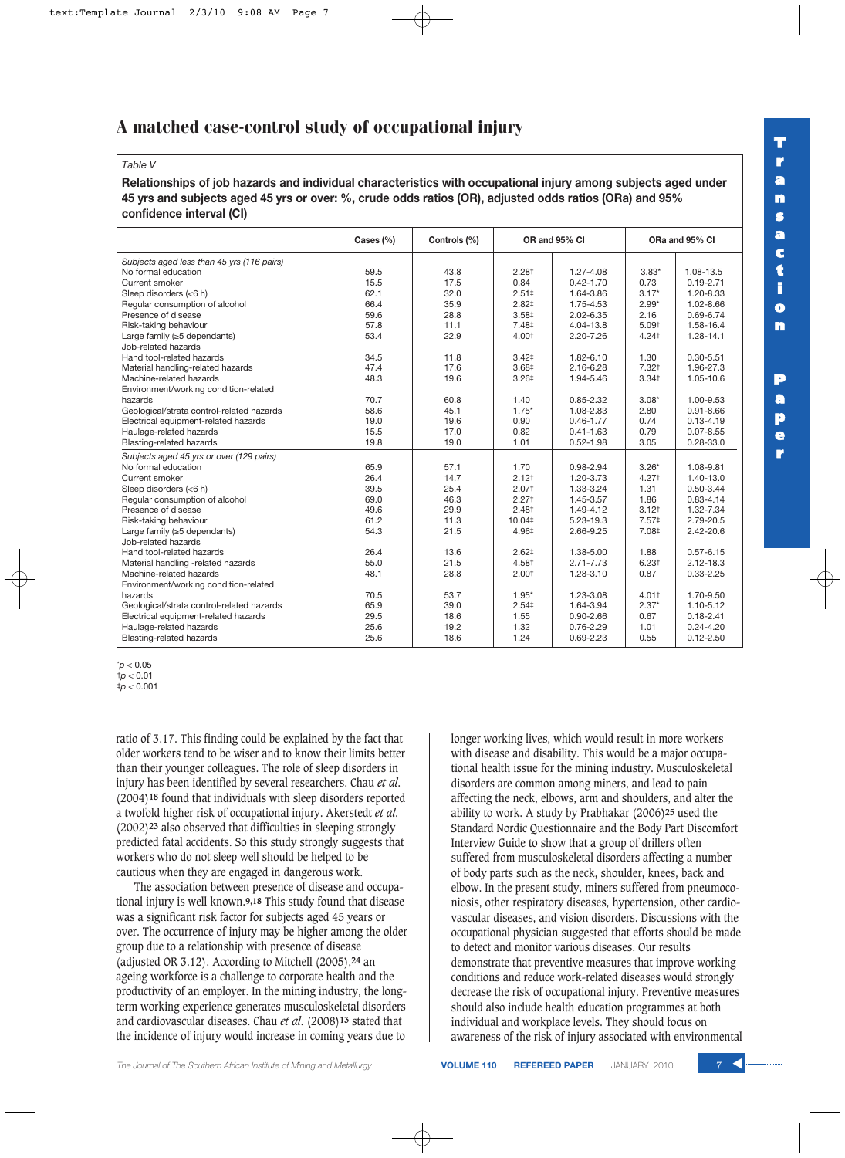## *Table V*

**Relationships of job hazards and individual characteristics with occupational injury among subjects aged under 45 yrs and subjects aged 45 yrs or over: %, crude odds ratios (OR), adjusted odds ratios (ORa) and 95% confidence interval (CI)**

|                                            | Cases (%) | Controls (%) |                   | OR and 95% CI | ORa and 95% CI      |               |
|--------------------------------------------|-----------|--------------|-------------------|---------------|---------------------|---------------|
| Subjects aged less than 45 yrs (116 pairs) |           |              |                   |               |                     |               |
| No formal education                        | 59.5      | 43.8         | 2.28 <sup>†</sup> | 1.27-4.08     | $3.83*$             | 1.08-13.5     |
| Current smoker                             | 15.5      | 17.5         | 0.84              | $0.42 - 1.70$ | 0.73                | $0.19 - 2.71$ |
| Sleep disorders (<6 h)                     | 62.1      | 32.0         | $2.51*$           | 1.64-3.86     | $3.17*$             | 1.20-8.33     |
| Regular consumption of alcohol             | 66.4      | 35.9         | 2.82 <sup>‡</sup> | 1.75-4.53     | $2.99*$             | 1.02-8.66     |
| Presence of disease                        | 59.6      | 28.8         | 3.58 <sup>‡</sup> | 2.02-6.35     | 2.16                | 0.69-6.74     |
| Risk-taking behaviour                      | 57.8      | 11.1         | 7.48‡             | 4.04-13.8     | 5.09 <sup>†</sup>   | 1.58-16.4     |
| Large family $(\geq 5$ dependants)         | 53.4      | 22.9         | 4.00 <sup>‡</sup> | 2.20-7.26     | $4.24$ <sup>+</sup> | 1.28-14.1     |
| Job-related hazards                        |           |              |                   |               |                     |               |
| Hand tool-related hazards                  | 34.5      | 11.8         | 3.42 <sup>‡</sup> | 1.82-6.10     | 1.30                | $0.30 - 5.51$ |
| Material handling-related hazards          | 47.4      | 17.6         | 3.68 <sup>‡</sup> | 2.16-6.28     | 7.32 <sup>†</sup>   | 1.96-27.3     |
| Machine-related hazards                    | 48.3      | 19.6         | 3.26 <sup>‡</sup> | 1.94-5.46     | 3.34 <sup>†</sup>   | 1.05-10.6     |
| Environment/working condition-related      |           |              |                   |               |                     |               |
| hazards                                    | 70.7      | 60.8         | 1.40              | $0.85 - 2.32$ | $3.08*$             | 1.00-9.53     |
| Geological/strata control-related hazards  | 58.6      | 45.1         | $1.75*$           | 1.08-2.83     | 2.80                | $0.91 - 8.66$ |
| Electrical equipment-related hazards       | 19.0      | 19.6         | 0.90              | $0.46 - 1.77$ | 0.74                | $0.13 - 4.19$ |
| Haulage-related hazards                    | 15.5      | 17.0         | 0.82              | $0.41 - 1.63$ | 0.79                | $0.07 - 8.55$ |
| <b>Blasting-related hazards</b>            | 19.8      | 19.0         | 1.01              | $0.52 - 1.98$ | 3.05                | $0.28 - 33.0$ |
| Subjects aged 45 yrs or over (129 pairs)   |           |              |                   |               |                     |               |
| No formal education                        | 65.9      | 57.1         | 1.70              | 0.98-2.94     | $3.26*$             | 1.08-9.81     |
| Current smoker                             | 26.4      | 14.7         | 2.12 <sup>†</sup> | 1.20-3.73     | 4.27 <sup>+</sup>   | 1.40-13.0     |
| Sleep disorders (<6 h)                     | 39.5      | 25.4         | 2.07 <sup>†</sup> | 1.33-3.24     | 1.31                | $0.50 - 3.44$ |
| Regular consumption of alcohol             | 69.0      | 46.3         | 2.27 <sup>†</sup> | 1.45-3.57     | 1.86                | $0.83 - 4.14$ |
| Presence of disease                        | 49.6      | 29.9         | 2.48 <sup>†</sup> | 1.49-4.12     | $3.12^{+}$          | 1.32-7.34     |
| Risk-taking behaviour                      | 61.2      | 11.3         | 10.04#            | 5.23-19.3     | 7.57 <sup>‡</sup>   | 2.79-20.5     |
| Large family ( $\geq$ 5 dependants)        | 54.3      | 21.5         | 4.96‡             | 2.66-9.25     | 7.08‡               | $2.42 - 20.6$ |
| Job-related hazards                        |           |              |                   |               |                     |               |
| Hand tool-related hazards                  | 26.4      | 13.6         | 2.62 <sup>‡</sup> | 1.38-5.00     | 1.88                | $0.57 - 6.15$ |
| Material handling -related hazards         | 55.0      | 21.5         | 4.58 <sup>‡</sup> | $2.71 - 7.73$ | 6.23 <sup>†</sup>   | $2.12 - 18.3$ |
| Machine-related hazards                    | 48.1      | 28.8         | 2.00 <sup>†</sup> | 1.28-3.10     | 0.87                | $0.33 - 2.25$ |
| Environment/working condition-related      |           |              |                   |               |                     |               |
| hazards                                    | 70.5      | 53.7         | $1.95*$           | 1.23-3.08     | 4.01+               | 1.70-9.50     |
| Geological/strata control-related hazards  | 65.9      | 39.0         | 2.54 <sup>‡</sup> | 1.64-3.94     | $2.37*$             | 1.10-5.12     |
| Electrical equipment-related hazards       | 29.5      | 18.6         | 1.55              | $0.90 - 2.66$ | 0.67                | $0.18 - 2.41$ |
| Haulage-related hazards                    | 25.6      | 19.2         | 1.32              | $0.76 - 2.29$ | 1.01                | $0.24 - 4.20$ |
| Blasting-related hazards                   | 25.6      | 18.6         | 1.24              | $0.69 - 2.23$ | 0.55                | $0.12 - 2.50$ |

\**p* < 0.05 †*p* < 0.01

‡*p* < 0.001

ratio of 3.17. This finding could be explained by the fact that older workers tend to be wiser and to know their limits better than their younger colleagues. The role of sleep disorders in injury has been identified by several researchers. Chau *et al*. (2004)**18** found that individuals with sleep disorders reported a twofold higher risk of occupational injury. Akerstedt *et al*. (2002)**23** also observed that difficulties in sleeping strongly predicted fatal accidents. So this study strongly suggests that workers who do not sleep well should be helped to be cautious when they are engaged in dangerous work.

The association between presence of disease and occupational injury is well known.**9,18** This study found that disease was a significant risk factor for subjects aged 45 years or over. The occurrence of injury may be higher among the older group due to a relationship with presence of disease (adjusted OR 3.12). According to Mitchell (2005),**24** an ageing workforce is a challenge to corporate health and the productivity of an employer. In the mining industry, the longterm working experience generates musculoskeletal disorders and cardiovascular diseases. Chau *et al*. (2008)**13** stated that the incidence of injury would increase in coming years due to

longer working lives, which would result in more workers with disease and disability. This would be a major occupational health issue for the mining industry. Musculoskeletal disorders are common among miners, and lead to pain affecting the neck, elbows, arm and shoulders, and alter the ability to work. A study by Prabhakar (2006)**25** used the Standard Nordic Questionnaire and the Body Part Discomfort Interview Guide to show that a group of drillers often suffered from musculoskeletal disorders affecting a number of body parts such as the neck, shoulder, knees, back and elbow. In the present study, miners suffered from pneumoconiosis, other respiratory diseases, hypertension, other cardiovascular diseases, and vision disorders. Discussions with the occupational physician suggested that efforts should be made to detect and monitor various diseases. Our results demonstrate that preventive measures that improve working conditions and reduce work-related diseases would strongly decrease the risk of occupational injury. Preventive measures should also include health education programmes at both individual and workplace levels. They should focus on awareness of the risk of injury associated with environmental



**T r a n s a c t i o n**

**P a p e r**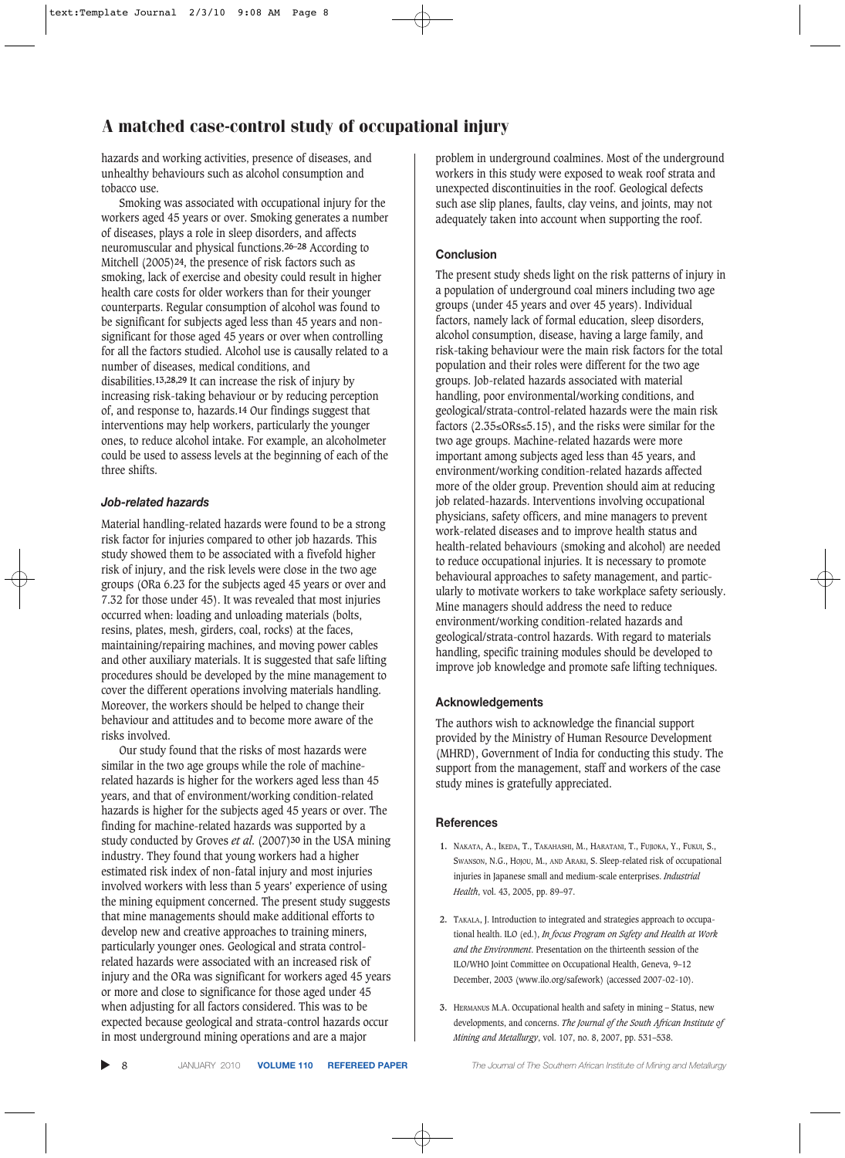hazards and working activities, presence of diseases, and unhealthy behaviours such as alcohol consumption and tobacco use.

Smoking was associated with occupational injury for the workers aged 45 years or over. Smoking generates a number of diseases, plays a role in sleep disorders, and affects neuromuscular and physical functions.**26–28** According to Mitchell (2005)**24**, the presence of risk factors such as smoking, lack of exercise and obesity could result in higher health care costs for older workers than for their younger counterparts. Regular consumption of alcohol was found to be significant for subjects aged less than 45 years and nonsignificant for those aged 45 years or over when controlling for all the factors studied. Alcohol use is causally related to a number of diseases, medical conditions, and disabilities.**13,28,29** It can increase the risk of injury by increasing risk-taking behaviour or by reducing perception of, and response to, hazards.**14** Our findings suggest that interventions may help workers, particularly the younger ones, to reduce alcohol intake. For example, an alcoholmeter could be used to assess levels at the beginning of each of the three shifts.

## *Job-related hazards*

Material handling-related hazards were found to be a strong risk factor for injuries compared to other job hazards. This study showed them to be associated with a fivefold higher risk of injury, and the risk levels were close in the two age groups (ORa 6.23 for the subjects aged 45 years or over and 7.32 for those under 45). It was revealed that most injuries occurred when: loading and unloading materials (bolts, resins, plates, mesh, girders, coal, rocks) at the faces, maintaining/repairing machines, and moving power cables and other auxiliary materials. It is suggested that safe lifting procedures should be developed by the mine management to cover the different operations involving materials handling. Moreover, the workers should be helped to change their behaviour and attitudes and to become more aware of the risks involved.

Our study found that the risks of most hazards were similar in the two age groups while the role of machinerelated hazards is higher for the workers aged less than 45 years, and that of environment/working condition-related hazards is higher for the subjects aged 45 years or over. The finding for machine-related hazards was supported by a study conducted by Groves *et al*. (2007)**30** in the USA mining industry. They found that young workers had a higher estimated risk index of non-fatal injury and most injuries involved workers with less than 5 years' experience of using the mining equipment concerned. The present study suggests that mine managements should make additional efforts to develop new and creative approaches to training miners, particularly younger ones. Geological and strata controlrelated hazards were associated with an increased risk of injury and the ORa was significant for workers aged 45 years or more and close to significance for those aged under 45 when adjusting for all factors considered. This was to be expected because geological and strata-control hazards occur in most underground mining operations and are a major

problem in underground coalmines. Most of the underground workers in this study were exposed to weak roof strata and unexpected discontinuities in the roof. Geological defects such ase slip planes, faults, clay veins, and joints, may not adequately taken into account when supporting the roof.

#### **Conclusion**

The present study sheds light on the risk patterns of injury in a population of underground coal miners including two age groups (under 45 years and over 45 years). Individual factors, namely lack of formal education, sleep disorders, alcohol consumption, disease, having a large family, and risk-taking behaviour were the main risk factors for the total population and their roles were different for the two age groups. Job-related hazards associated with material handling, poor environmental/working conditions, and geological/strata-control-related hazards were the main risk factors (2.35≤ORs≤5.15), and the risks were similar for the two age groups. Machine-related hazards were more important among subjects aged less than 45 years, and environment/working condition-related hazards affected more of the older group. Prevention should aim at reducing job related-hazards. Interventions involving occupational physicians, safety officers, and mine managers to prevent work-related diseases and to improve health status and health-related behaviours (smoking and alcohol) are needed to reduce occupational injuries. It is necessary to promote behavioural approaches to safety management, and particularly to motivate workers to take workplace safety seriously. Mine managers should address the need to reduce environment/working condition-related hazards and geological/strata-control hazards. With regard to materials handling, specific training modules should be developed to improve job knowledge and promote safe lifting techniques.

## **Acknowledgements**

The authors wish to acknowledge the financial support provided by the Ministry of Human Resource Development (MHRD), Government of India for conducting this study. The support from the management, staff and workers of the case study mines is gratefully appreciated.

#### **References**

- **1.** NAKATA, A., IKEDA, T., TAKAHASHI, M., HARATANI, T., FUJIOKA, Y., FUKUI, S., SWANSON, N.G., HOJOU, M., AND ARAKI, S. Sleep-related risk of occupational injuries in Japanese small and medium-scale enterprises. *Industrial Health*, vol. 43, 2005, pp. 89–97.
- **2.** TAKALA, J. Introduction to integrated and strategies approach to occupational health. ILO (ed.), *In focus Program on Safety and Health at Work and the Environment*. Presentation on the thirteenth session of the ILO/WHO Joint Committee on Occupational Health, Geneva, 9–12 December, 2003 (www.ilo.org/safework) (accessed 2007-02-10).
- **3.** HERMANUS M.A. Occupational health and safety in mining Status, new developments, and concerns. *The Journal of the South African Institute of Mining and Metallurgy*, vol. 107, no. 8, 2007, pp. 531–538.

▲

8 JANUARY 2010 **VOLUME 110 REFEREED PAPER** *The Journal of The Southern African Institute of Mining and Metallurgy*